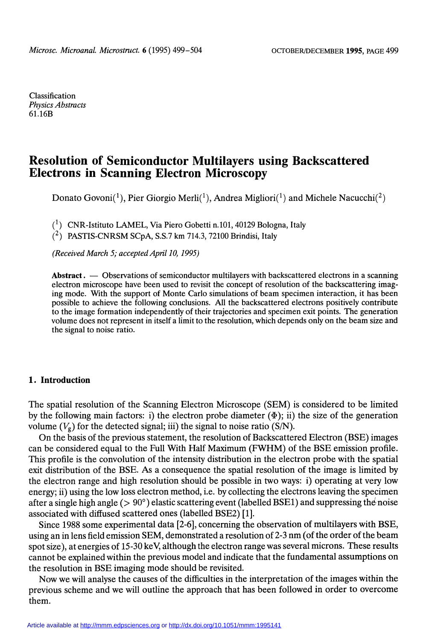Classification Physics Abstracts 61.16B

# Resolution of Semiconductor Multilayers using Backscattered Electrons in Scanning Electron Microscopy

Donato Govoni(<sup>1</sup>), Pier Giorgio Merli(<sup>1</sup>), Andrea Migliori(<sup>1</sup>) and Michele Nacucchi(<sup>2</sup>)

 $(1)$  CNR-Istituto LAMEL, Via Piero Gobetti n.101, 40129 Bologna, Italy

 $(2)$  PASTIS-CNRSM SCpA, S.S.7 km 714.3, 72100 Brindisi, Italy

(Received March 5; accepted April 10, 1995)

Abstract.  $\sim$  Observations of semiconductor multilayers with backscattered electrons in a scanning electron microscope have been used to revisit the concept of resolution of the backscattering imaging mode. With the support of Monte Carlo simulations of beam specimen interaction, it has been possible to achieve the following conclusions. All the backscattered electrons positively contribute to the image formation independently of their trajectories and specimen exit points. The generation volume does not represent in itself a limit to the resolution, which depends only on the beam size and the signal to noise ratio.

## 1. Introduction

The spatial resolution of the Scanning Electron Microscope (SEM) is considered to be limited by the following main factors: i) the electron probe diameter  $(\Phi)$ ; ii) the size of the generation volume  $(V_g)$  for the detected signal; iii) the signal to noise ratio (S/N).<br>On the basis of the previous statement, the resolution of Backscattered Electron (BSE) images

can be considered equal to the Full With Half Maximum (FWHM) of the BSE emission profile. This profile is the convolution of the intensity distribution in the electron probe with the spatial exit distribution of the BSE. As a consequence the spatial resolution of the image is limited by the electron range and high resolution should be possible in two ways: i) operating at very low energy; ii) using the low loss electron method, i.e. by collecting the electrons leaving the specimen after a single high angle ( $> 90^{\circ}$ ) elastic scattering event (labelled BSE1) and suppressing the noise associated with diffused scattered ones (labelled BSE2) [1].

Since 1988 some experimental data [2-6], conceming the observation of multilayers with BSE, using an in lens field emission SEM, demonstrated a resolution of 2-3 nm (of the order of the beam spot size), at energies of 15-30 keV, although the electron range was several microns. These results cannot be explained within the previous model and indicate that the fundamental assumptions on the resolution in BSE imaging mode should be revisited.

Now we will analyse the causes of the difficulties in the interpretation of the images within the previous scheme and we will outline the approach that has been followed in order to overcome them.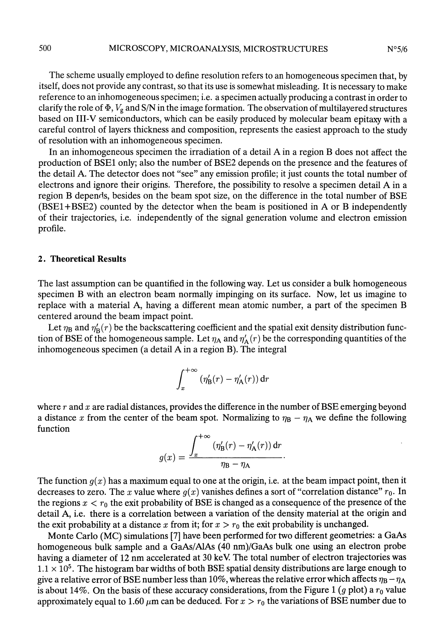The scheme usually employed to define resolution refers to an homogeneous specimen that, by itself, does not provide any contrast, so that its use is somewhat misleading. It is necessary to make reference to an inhomogeneous specimen; i.e. a specimen actually producing a contrast in order to clarify the role of  $\Phi$ ,  $V_g$  and S/N in the image formation. The observation of multilayered structures based on III-V semiconductors, which can be easily produced by molecular beam epitaxy with a careful control of layers thickness and composition, represents the easiest approach to the study of resolution with an inhomogeneous specimen.

In an inhomogeneous specimen the irradiation of a detail A in a region B does not affect the production of BSE1 only; also the number of BSE2 depends on the presence and the features of the detail A. The detector does not "see" any emission profile; it just counts the total number of electrons and ignore their origins. Therefore, the possibility to resolve a specimen detail A in a region B depends, besides on the beam spot size, on the difference in the total number of BSE (BSE1 + BSE2) counted by the detector when the beam is positioned in A or B independently of their trajectories, i.e. independently of the signal generation volume and electron emission profile.

### 2. Theoretical Results

The last assumption can be quantified in the following way. Let us consider a bulk homogeneous specimen B with an electron beam normally impinging on its surface. Now, let us imagine to replace with a material A, having a different mean atomic number, a part of the specimen B centered around the beam impact point.

Let  $\eta_B$  and  $\eta'_B(r)$  be the backscattering coefficient and the spatial exit density distribution function of BSE of the homogeneous sample. Let  $\eta_A$  and  $\eta'_A(r)$  be the corresponding quantities of the inhomogeneous specimen (a detail A in a region B). The integral

$$
\int_x^{+\infty} \left(\eta'_{\mathbf{B}}(r) - \eta'_{\mathbf{A}}(r)\right) \mathrm{d}r
$$

where  $r$  and  $x$  are radial distances, provides the difference in the number of BSE emerging beyond a distance x from the center of the beam spot. Normalizing to  $\eta_B - \eta_A$  we define the following function

$$
g(x) = \frac{\int_x^{+\infty} (\eta'_{\mathbf{B}}(r) - \eta'_{\mathbf{A}}(r)) dr}{\eta_{\mathbf{B}} - \eta_{\mathbf{A}}}
$$

The function  $g(x)$  has a maximum equal to one at the origin, i.e. at the beam impact point, then it decreases to zero. The x value where  $g(x)$  vanishes defines a sort of "correlation distance"  $r_0$ . In the regions  $x < r_0$  the exit probability of BSE is changed as a consequence of the presence of the detail A, i.e. there is a correlation between a variation of the density material at the origin and the exit probability at a distance x from it; for  $x > r_0$  the exit probability is unchanged.

Monte Carlo (MC) simulations [7] have been performed for two different geometries: a GaAs homogeneous bulk sample and a GaAs/AlAs (40 nm)/GaAs bulk one using an electron probe having a diameter of 12 nm accelerated at 30 keV The total number of electron trajectories was  $1.1 \times 10^5$ . The histogram bar widths of both BSE spatial density distributions are large enough to give a relative error of BSE number less than 10%, whereas the relative error which affects  $\eta_B - \eta_A$ is about 14%. On the basis of these accuracy considerations, from the Figure 1 (g plot) a  $r_0$  value approximately equal to 1.60  $\mu$ m can be deduced. For  $x > r_0$  the variations of BSE number due to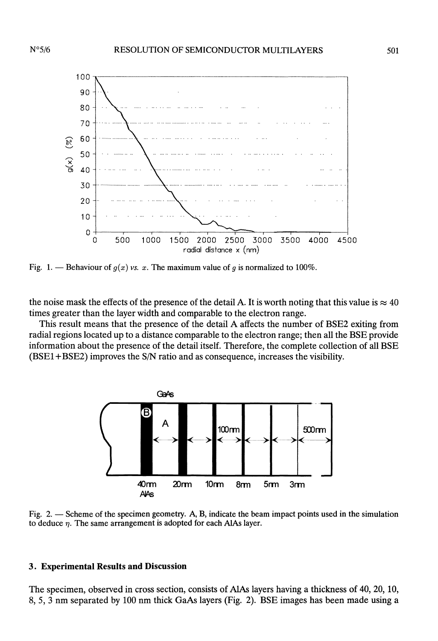

Fig. 1. — Behaviour of  $q(x)$  vs. x. The maximum value of q is normalized to 100%.

the noise mask the effects of the presence of the detail A. It is worth noting that this value is  $\approx 40$ times greater than the layer width and comparable to the electron range.

This result means that the presence of the detail A affects the number of BSE2 exiting from radial regions located up to a distance comparable to the electron range; then all the BSE provide information about the presence of the detail itself. Therefore, the complete collection of all BSE (BSE1 +BSE2) improves the S/N ratio and as consequence, increases the visibility.



Fig. 2. - Scheme of the specimen geometry. A, B, indicate the beam impact points used in the simulation to deduce  $\eta$ . The same arrangement is adopted for each AlAs layer.

## 3. Experimental Results and Discussion

The specimen, observed in cross section, consists of AlAs layers having a thickness of 40, 20, 10, 8, 5, 3 nm separated by 100 nm thick GaAs layers (Fig. 2). BSE images has been made using a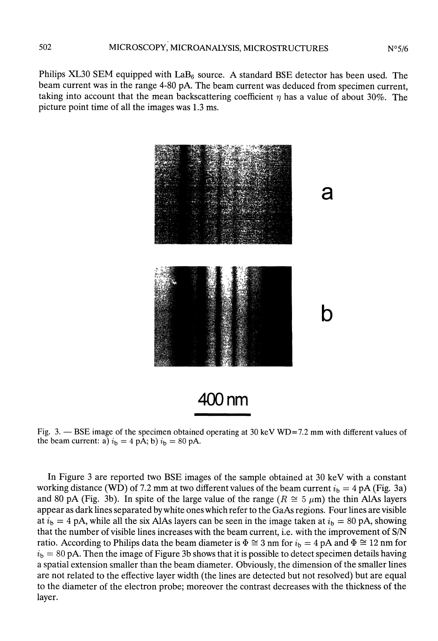Philips XL30 SEM equipped with  $\text{LaB}_6$  source. A standard BSE detector has been used. The beam current was in the range 4-80 pA. The beam current was deduced from specimen current, taking into account that the mean backscattering coefficient  $\eta$  has a value of about 30%. The picture point time of all the images was 1.3 ms.



Fig. 3. - BSE image of the specimen obtained operating at 30 keV WD=7.2 mm with different values of the beam current: a)  $i_b = 4$  pA; b)  $i_b = 80$  pA.

In Figure 3 are reported two BSE images of the sample obtained at 30 keV with a constant working distance (WD) of 7.2 mm at two different values of the beam current  $i_b = 4 \text{ pA (Fig. 3a)}$ and 80 pA (Fig. 3b). In spite of the large value of the range ( $R \approx 5 \mu m$ ) the thin AlAs layers appear as dark lines separated by white ones which refer to the GaAs regions. Four lines are visible at  $i<sub>b</sub> = 4$  pA, while all the six AlAs layers can be seen in the image taken at  $i<sub>b</sub> = 80$  pA, showing that the number of visible lines increases with the beam current, i.e. with the improvement of S/N ratio. According to Philips data the beam diameter is  $\Phi \cong 3$  nm for  $i_b = 4$  pA and  $\Phi \cong 12$  nm for  $i<sub>b</sub> = 80$  pA. Then the image of Figure 3b shows that it is possible to detect specimen details having a spatial extension smaller than the beam diameter. Obviously, the dimension of the smaller lines are not related to the effective layer width (the lines are detected but not resolved) but are equal to the diameter of the electron probe; moreover the contrast decreases with the thickness of the layer.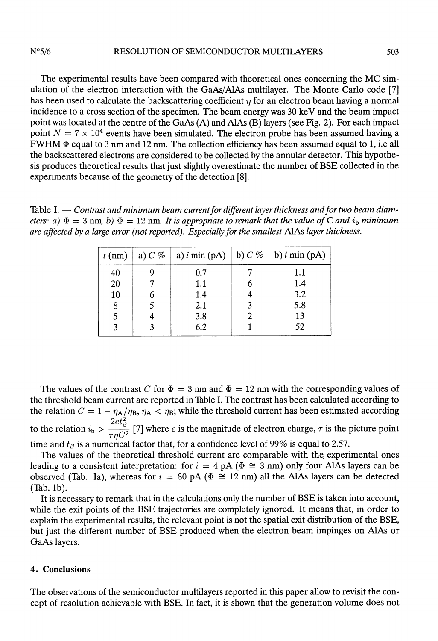#### $N^{\circ}5/6$ RESOLUTION OF SEMICONDUCTOR MULTILAYERS

The experimental results have been compared with theoretical ones concerning the MC simulation of the electron interaction with the GaAs/AlAs multilayer. The Monte Carlo code [7] has been used to calculate the backscattering coefficient  $\eta$  for an electron beam having a normal incidence to a cross section of the specimen. The beam energy was 30 keV and the beam impact point was located at the centre of the GaAs (A) and AlAs (B) layers (see Fig. 2). For each impact point  $N = 7 \times 10^4$  events have been simulated. The electron probe has been assumed having a FWHM  $\Phi$  equal to 3 nm and 12 nm. The collection efficiency has been assumed equal to 1, i.e all the backscattered electrons are considered to be collected by the annular detector. This hypothesis produces theoretical results that just slightly overestimate the number of BSE collected in the experiments because of the geometry of the detection [8].

Table I.  $-$  Contrast and minimum beam current for different layer thickness and for two beam diameters: a)  $\Phi = 3$  nm, b)  $\Phi = 12$  nm. It is appropriate to remark that the value of C and i<sub>b</sub> minimum are affected by a large error (not reported). Especially for the smallest AlAs layer thickness.

|    |     | $t (nm)$   a) $C \%$   a) $i \text{ min (pA)}$   b) $C \%$   b) $i \text{ min (pA)}$ |
|----|-----|--------------------------------------------------------------------------------------|
| 40 | 0.7 | 1.1                                                                                  |
| 20 | 1.1 | 1.4                                                                                  |
| 10 | 1.4 | 3.2                                                                                  |
| 8  | 2.1 | 5.8                                                                                  |
|    | 3.8 | 13                                                                                   |
|    | 6.2 | 52                                                                                   |
|    |     |                                                                                      |

The values of the contrast C for  $\Phi = 3$  nm and  $\Phi = 12$  nm with the corresponding values of the threshold beam current are reported in Table I. The contrast has been calculated according to the relation  $C = 1 - \eta_A/\eta_B$ ,  $\eta_A < \eta_B$ ; while the threshold current has been estimated according to the relation  $i_b > \frac{2et_\beta^2}{\tau \eta C^2}$  [7] where e is the magnitude of electron charge,  $\tau$  is the picture point time and  $t_\beta$  is a numerical factor that, for a confidence level of 99% is equal to 2.57.

The values of the theoretical threshold current are comparable with the experimental ones leading to a consistent interpretation: for  $i = 4$  pA ( $\Phi \cong 3$  nm) only four AlAs layers can be observed (Tab. Ia), whereas for  $i = 80 \text{ pA}$  ( $\Phi \cong 12 \text{ nm}$ ) all the AlAs layers can be detected (Tab. lb).

It is necessary to remark that in the calculations only the number of BSE is taken into account, while the exit points of the BSE trajectories are completely ignored. It means that, in order to explain the experimental results, the relevant point is not the spatial exit distribution of the BSE, but just the different number of BSE produced when the electron beam impinges on AlAs or GaAs layers.

## 4. Conclusions

The observations of the semiconductor multilayers reported in this paper allow to revisit the concept of resolution achievable with BSE. In fact, it is shown that the generation volume does not